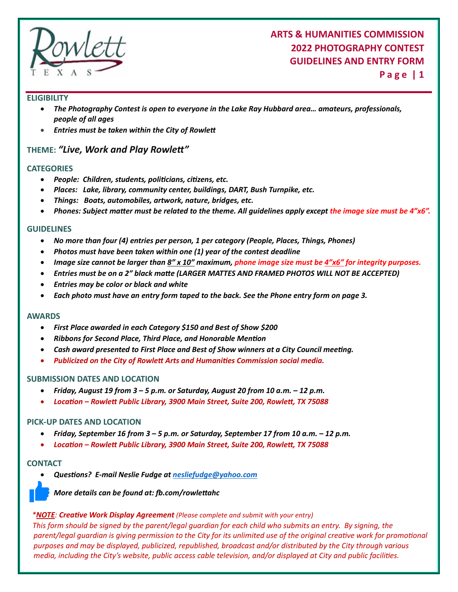

## **ARTS & HUMANITIES COMMISSION 2022 PHOTOGRAPHY CONTEST GUIDELINES AND ENTRY FORM**

**P a g e | 1**

#### **ELIGIBILITY**

- *The Photography Contest is open to everyone in the Lake Ray Hubbard area… amateurs, professionals, people of all ages*
- *Entries must be taken within the City of Rowleft*

### **THEME:** *"Live, Work and Play Rowleft"*

#### **CATEGORIES**

- *People: Children, students, polificians, cifizens, etc.*
- *Places: Lake, library, community center, buildings, DART, Bush Turnpike, etc.*
- *Things: Boats, automobiles, artwork, nature, bridges, etc.*
- *Phones: Subject mafter must be related to the theme. All guidelines apply except the image size must be 4"x6".*

#### **GUIDELINES**

- *No more than four (4) entries per person, 1 per category (People, Places, Things, Phones)*
- *Photos must have been taken within one (1) year of the contest deadline*
- *Image size cannot be larger than 8" x 10" maximum, phone image size must be 4"x6" for integrity purposes.*
- *Entries must be on a 2" black mafte (LARGER MATTES AND FRAMED PHOTOS WILL NOT BE ACCEPTED)*
- *Entries may be color or black and white*
- *Each photo must have an entry form taped to the back. See the Phone entry form on page 3.*

#### **AWARDS**

- *First Place awarded in each Category \$150 and Best of Show \$200*
- *Ribbons for Second Place, Third Place, and Honorable Menfion*
- *Cash award presented to First Place and Best of Show winners at a City Council meefing.*
- *Publicized on the City of Rowleft Arts and Humanifies Commission social media.*

#### **SUBMISSION DATES AND LOCATION**

- *Friday, August 19 from 3 5 p.m. or Saturday, August 20 from 10 a.m. 12 p.m.*
- *Locafion – Rowleft Public Library, 3900 Main Street, Suite 200, Rowleft, TX 75088*

#### **PICK-UP DATES AND LOCATION**

- *Friday, September 16 from 3 5 p.m. or Saturday, September 17 from 10 a.m. 12 p.m.*
- *Locafion – Rowleft Public Library, 3900 Main Street, Suite 200, Rowleft, TX 75088*

#### **CONTACT**

*Quesfions? E-mail Neslie Fudge at [nesliefudge@yahoo.com](mailto:nesliefudge@yahoo.com)* 



*More details can be found at: fb.com/rowleftahc*

 *\*NOTE: Creafive Work Display Agreement (Please complete and submit with your entry)*

 *This form should be signed by the parent/legal guardian for each child who submits an entry. By signing, the*  parent/legal quardian is giving permission to the City for its unlimited use of the original creative work for promotional *purposes and may be displayed, publicized, republished, broadcast and/or distributed by the City through various*  media, including the City's website, public access cable television, and/or displayed at City and public facilities.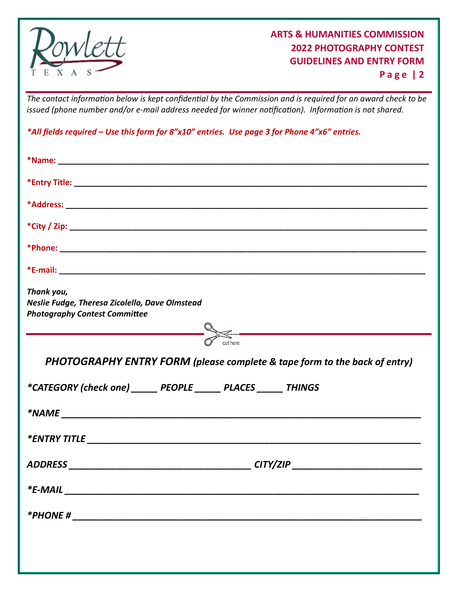

**P a g e | 2**

The contact information below is kept confidential by the Commission and is required for an award check to be *issued (phone number and/or e-mail address needed for winner nofificafion). Informafion is not shared.*

*\*All fields required – Use this form for 8"x10" entries. Use page 3 for Phone 4"x6" entries.*

| Thank you,<br>Neslie Fudge, Theresa Zicolello, Dave Olmstead<br><b>Photography Contest Committee</b><br>$\leq$ . The contract of the contract of $\sim$ |
|---------------------------------------------------------------------------------------------------------------------------------------------------------|
| cut here<br>PHOTOGRAPHY ENTRY FORM (please complete & tape form to the back of entry)                                                                   |
|                                                                                                                                                         |
|                                                                                                                                                         |
| *CATEGORY (check one) ______ PEOPLE ______ PLACES ______ THINGS                                                                                         |
|                                                                                                                                                         |
|                                                                                                                                                         |
| CITY/ZIP                                                                                                                                                |
|                                                                                                                                                         |
|                                                                                                                                                         |
|                                                                                                                                                         |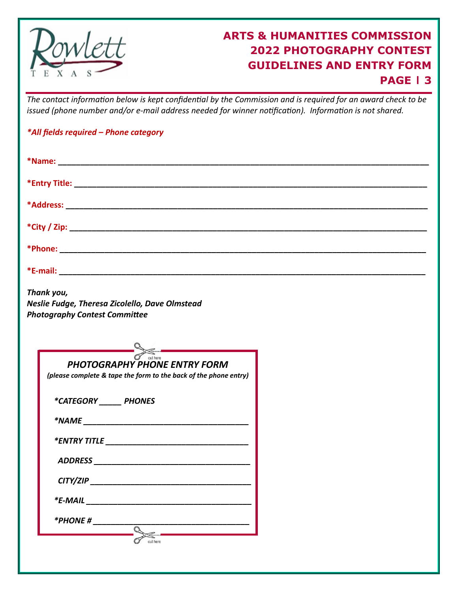

# **ARTS & HUMANITIES COMMISSION 2022 PHOTOGRAPHY CONTEST GUIDELINES AND ENTRY FORM PAGE | 3**

The contact information below is kept confidential by the Commission and is required for an award check to be *issued (phone number and/or e-mail address needed for winner nofificafion). Informafion is not shared.*

|  |  |  |  | *All fields required - Phone category |
|--|--|--|--|---------------------------------------|
|--|--|--|--|---------------------------------------|

| Thank you,<br>Neslie Fudge, Theresa Zicolello, Dave Olmstead<br><b>Photography Contest Committee</b> |  |  |  |  |  |
|------------------------------------------------------------------------------------------------------|--|--|--|--|--|
|                                                                                                      |  |  |  |  |  |
| <b>PHOTOGRAPHY PHONE ENTRY FORM</b>                                                                  |  |  |  |  |  |
| (please complete & tape the form to the back of the phone entry)                                     |  |  |  |  |  |
| *CATEGORY PHONES                                                                                     |  |  |  |  |  |
|                                                                                                      |  |  |  |  |  |
|                                                                                                      |  |  |  |  |  |
|                                                                                                      |  |  |  |  |  |
| CITY/ZIP                                                                                             |  |  |  |  |  |
|                                                                                                      |  |  |  |  |  |
| *PHONE #                                                                                             |  |  |  |  |  |
| cut here                                                                                             |  |  |  |  |  |